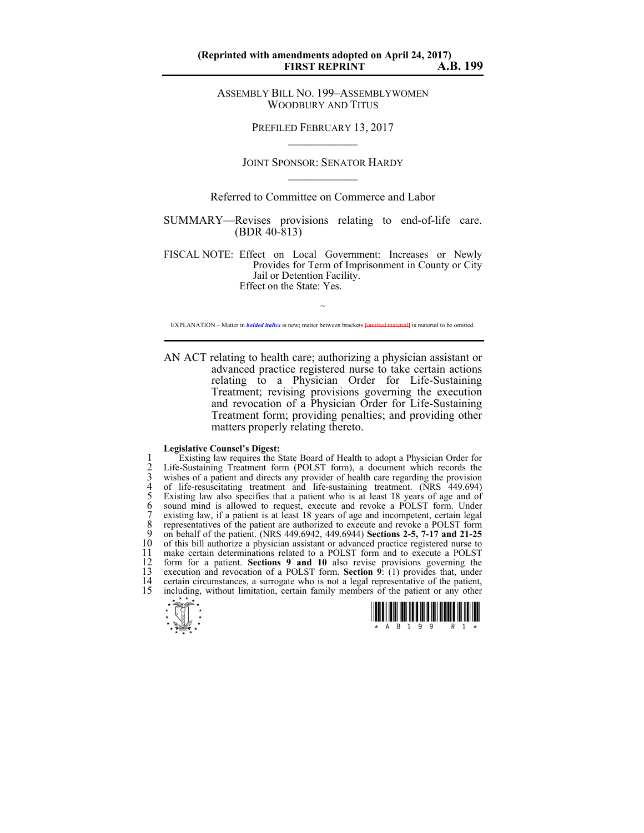## **(Reprinted with amendments adopted on April 24, 2017) FIRST REPRINT**

ASSEMBLY BILL NO. 199–ASSEMBLYWOMEN WOODBURY AND TITUS

> PREFILED FEBRUARY 13, 2017  $\mathcal{L}_\text{max}$

JOINT SPONSOR: SENATOR HARDY  $\mathcal{L}_\text{max}$ 

Referred to Committee on Commerce and Labor

SUMMARY—Revises provisions relating to end-of-life care. (BDR 40-813)

FISCAL NOTE: Effect on Local Government: Increases or Newly Provides for Term of Imprisonment in County or City Jail or Detention Facility. Effect on the State: Yes.

~ EXPLANATION – Matter in *bolded italics* is new; matter between brackets **{omitted material}** is material to be omitted.

AN ACT relating to health care; authorizing a physician assistant or advanced practice registered nurse to take certain actions relating to a Physician Order for Life-Sustaining Treatment; revising provisions governing the execution and revocation of a Physician Order for Life-Sustaining Treatment form; providing penalties; and providing other matters properly relating thereto.

## **Legislative Counsel's Digest:**

1 Existing law requires the State Board of Health to adopt a Physician Order for<br>2 Life-Sustaining Treatment form (POLST form), a document which records the<br>3 wishes of a patient and directs any provider of health care reg Life-Sustaining Treatment form (POLST form), a document which records the 3 wishes of a patient and directs any provider of health care regarding the provision<br>4 of life-resuscitating treatment and life-sustaining treatment. (NRS 449.694)<br>5 Existing law also specifies that a patient who is at le of life-resuscitating treatment and life-sustaining treatment. (NRS 449.694) Existing law also specifies that a patient who is at least 18 years of age and of sound mind is allowed to request, execute and revoke a POLST form. Under existing law, if a patient is at least 18 years of age and incompetent, certain legal 8 representatives of the patient are authorized to execute and revoke a POLST form<br>9 on behalf of the patient (NRS 449 6942 449 6944) **Sections 2-5, 7-17 and 21-25** 9 on behalf of the patient. (NRS 449.6942, 449.6944) **Sections 2-5, 7-17 and 21-25** 10 of this bill authorize a physician assistant or advanced practice registered nurse to 11 make certain determinations related to a POLST form and to execute a POLST 11 make certain determinations related to a POLST form and to execute a POLST form for a patient. Sections 9 and 10 also revise provisions governing the 12 form for a patient. **Sections 9 and 10** also revise provisions governing the 13 execution and revocation of a POLST form. **Section 9**: (1) provides that, under 14 certain circumstances, a surrogate who is not a legal representative of the patient,<br>15 including without limitation certain family members of the patient or any other including, without limitation, certain family members of the patient or any other



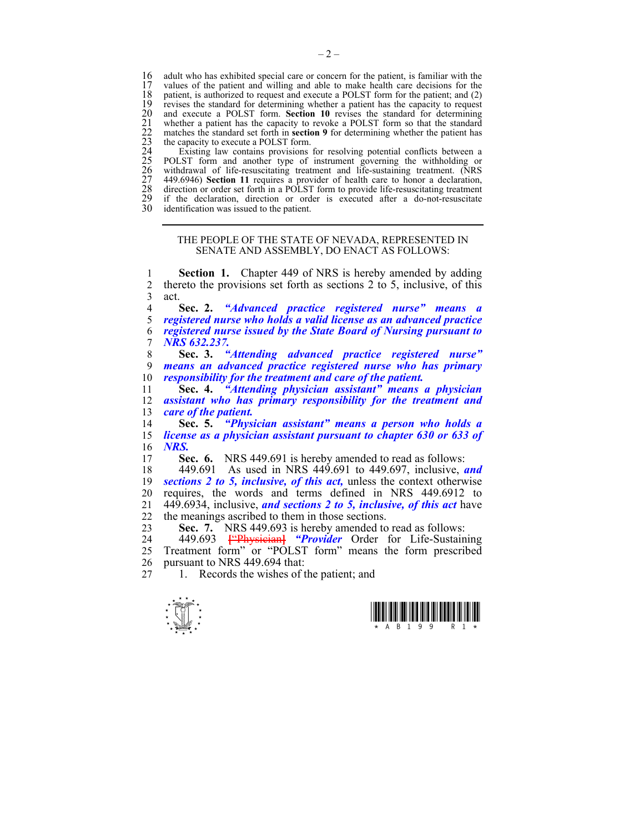16 adult who has exhibited special care or concern for the patient, is familiar with the 17 values of the patient and willing and able to make health care decisions for the 17 values of the patient and willing and able to make health care decisions for the 18 patient, is authorized to request and execute a POLST form for the patient; and (2) revises the standard for determining whether a patient has the capacity to request and execute a POLST form. **Section 10** revises the standard for determining whether a patient has the capacity to revoke a POLST form so that the standard matches the standard set forth in **section 9** for determining whether the patient has the capacity to execute a POLST form.

19 revises the standard for determining whether a patient has the capacity to request<br>
20 and execute a POLST form. Section 10 revises the standard for determining<br>
21 whether a patient has the capacity to revoke a POLST f Existing law contains provisions for resolving potential conflicts between a POLST form and another type of instrument governing the withholding or withdrawal of life-resuscitating treatment and life-sustaining treatment. (NRS 27 449.6946) **Section 11** requires a provider of health care to honor a declaration, direction or order set forth in a POLST form to provide life-resuscitating treatment 29 if the declaration, direction or order is executed after a do-not-resuscitate identification was issued to the patient.

## THE PEOPLE OF THE STATE OF NEVADA, REPRESENTED IN SENATE AND ASSEMBLY, DO ENACT AS FOLLOWS:

1 **Section 1.** Chapter 449 of NRS is hereby amended by adding 2 thereto the provisions set forth as sections  $2 \text{ to } 5$ , inclusive, of this act.  $3$  act.<br>4

**Sec. 2.** *"Advanced practice registered nurse" means a registered nurse who holds a valid license as an advanced practice registered nurse issued by the State Board of Nursing pursuant to NRS 632.237.* 

8 **Sec. 3.** *"Attending advanced practice registered nurse"*  9 *means an advanced practice registered nurse who has primary*  10 *responsibility for the treatment and care of the patient.* 

11 **Sec. 4.** *"Attending physician assistant" means a physician*  12 *assistant who has primary responsibility for the treatment and*  13 *care of the patient.* 

14 **Sec. 5.** *"Physician assistant" means a person who holds a*  15 *license as a physician assistant pursuant to chapter 630 or 633 of*  16 *NRS.* 

17 **Sec. 6.** NRS 449.691 is hereby amended to read as follows:

18 449.691 As used in NRS 449.691 to 449.697, inclusive, *and*  19 *sections 2 to 5, inclusive, of this act,* unless the context otherwise 20 requires, the words and terms defined in NRS 449.6912 to 21 449.6934, inclusive, *and sections 2 to 5, inclusive, of this act* have 22 the meanings ascribed to them in those sections.

23 **Sec. 7.** NRS 449.693 is hereby amended to read as follows:

24 449.693 **[**"Physician**]** *"Provider* Order for Life-Sustaining 25 Treatment form" or "POLST form" means the form prescribed 26 pursuant to NRS 449.694 that:

27 1. Records the wishes of the patient; and

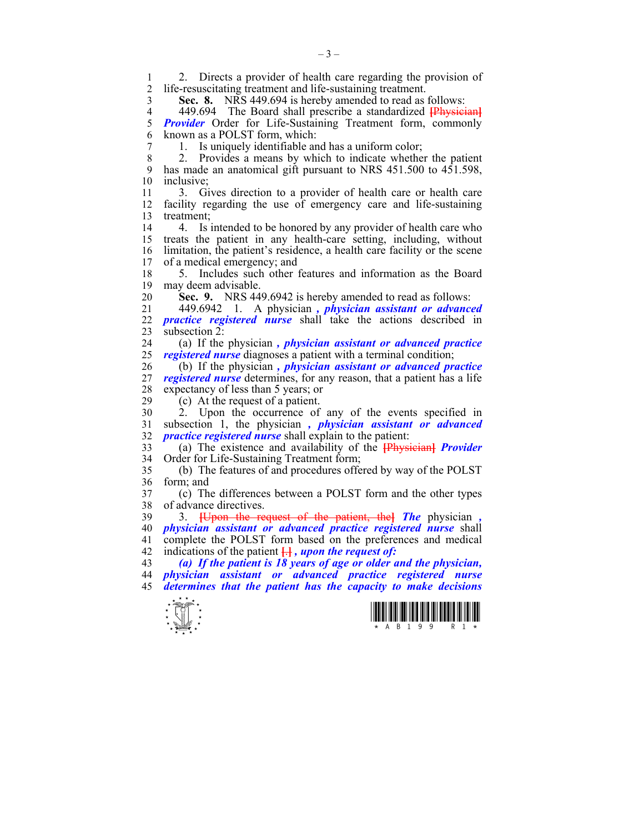1 2. Directs a provider of health care regarding the provision of 2 life-resuscitating treatment and life-sustaining treatment life-resuscitating treatment and life-sustaining treatment.

3 **Sec. 8.** NRS 449.694 is hereby amended to read as follows:

4 449.694 The Board shall prescribe a standardized **[Physician]**<br>5 **Provider** Order for Life-Sustaining Treatment form, commonly *Provider* Order for Life-Sustaining Treatment form, commonly 6 known as a POLST form, which:

7 1. Is uniquely identifiable and has a uniform color;

8 2. Provides a means by which to indicate whether the patient 9 has made an anatomical gift pursuant to NRS 451.500 to 451.598, 10 inclusive;

11 3. Gives direction to a provider of health care or health care 12 facility regarding the use of emergency care and life-sustaining 13 treatment;

14 4. Is intended to be honored by any provider of health care who 15 treats the patient in any health-care setting, including, without 16 limitation, the patient's residence, a health care facility or the scene 17 of a medical emergency; and

18 5. Includes such other features and information as the Board 19 may deem advisable.

20 **Sec. 9.** NRS 449.6942 is hereby amended to read as follows:

21 449.6942 1. A physician *, physician assistant or advanced*  22 *practice registered nurse* shall take the actions described in 23 subsection  $2^{\degree}$ 

24 (a) If the physician *, physician assistant or advanced practice*  25 *registered nurse* diagnoses a patient with a terminal condition;

26 (b) If the physician *, physician assistant or advanced practice*  27 *registered nurse* determines, for any reason, that a patient has a life 28 expectancy of less than 5 years; or  $(29 \t (c)$  At the request of a patient

 $(c)$  At the request of a patient.

30 2. Upon the occurrence of any of the events specified in 31 subsection 1, the physician *, physician assistant or advanced*  32 *practice registered nurse* shall explain to the patient:

33 (a) The existence and availability of the **[**Physician**]** *Provider*  34 Order for Life-Sustaining Treatment form;

35 (b) The features of and procedures offered by way of the POLST 36 form; and

37 (c) The differences between a POLST form and the other types 38 of advance directives.

39 3. **[**Upon the request of the patient, the**]** *The* physician *,*  40 *physician assistant or advanced practice registered nurse* shall complete the POLST form based on the preferences and medical 42 indications of the patient **[**.**]** *, upon the request of:* 

43 *(a) If the patient is 18 years of age or older and the physician,*  44 *physician assistant or advanced practice registered nurse*  45 *determines that the patient has the capacity to make decisions* 



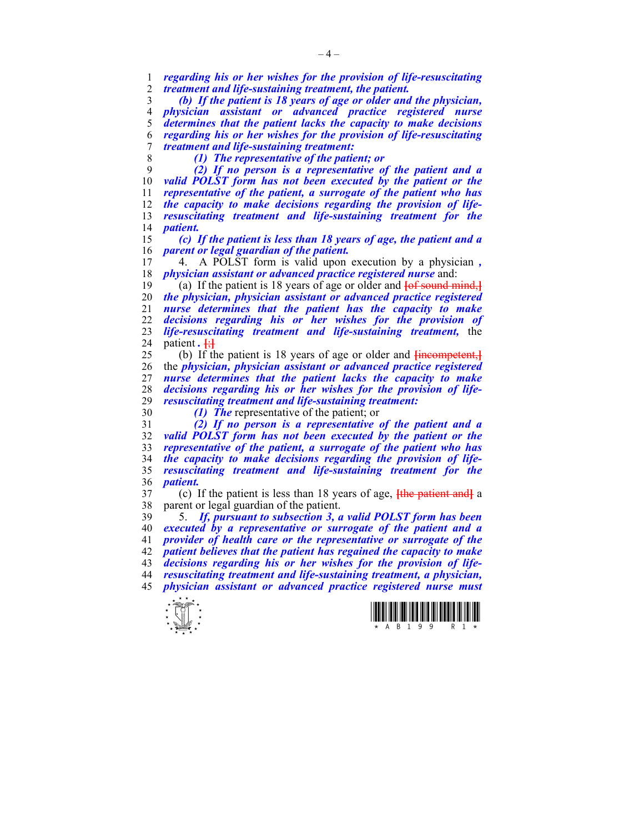*regarding his or her wishes for the provision of life-resuscitating treatment and life-sustaining treatment, the patient.* 

*(b) If the patient is 18 years of age or older and the physician, physician assistant or advanced practice registered nurse determines that the patient lacks the capacity to make decisions regarding his or her wishes for the provision of life-resuscitating treatment and life-sustaining treatment:* 

*(1) The representative of the patient; or* 

*(2) If no person is a representative of the patient and a valid POLST form has not been executed by the patient or the representative of the patient, a surrogate of the patient who has the capacity to make decisions regarding the provision of life-resuscitating treatment and life-sustaining treatment for the*   $$ 

*(c) If the patient is less than 18 years of age, the patient and a parent or legal guardian of the patient.* 

17 4. A POLST form is valid upon execution by a physician *, physician assistant or advanced practice registered nurse* and:

19 (a) If the patient is 18 years of age or older and **[**of sound mind,**]** *the physician, physician assistant or advanced practice registered nurse determines that the patient has the capacity to make decisions regarding his or her wishes for the provision of life-resuscitating treatment and life-sustaining treatment,* the 24 patient.  $\frac{1}{2}$ 

25 (b) If the patient is 18 years of age or older and **[**incompetent,**]** 26 the *physician, physician assistant or advanced practice registered nurse determines that the patient lacks the capacity to make decisions regarding his or her wishes for the provision of liferesuscitating treatment and life-sustaining treatment:* 

*(1) The* representative of the patient; or

*(2) If no person is a representative of the patient and a valid POLST form has not been executed by the patient or the representative of the patient, a surrogate of the patient who has the capacity to make decisions regarding the provision of life-resuscitating treatment and life-sustaining treatment for the patient.* 

37 (c) If the patient is less than 18 years of age, **[**the patient and**]** a 38 parent or legal guardian of the patient.

39 5. *If, pursuant to subsection 3, a valid POLST form has been executed by a representative or surrogate of the patient and a provider of health care or the representative or surrogate of the patient believes that the patient has regained the capacity to make decisions regarding his or her wishes for the provision of life-resuscitating treatment and life-sustaining treatment, a physician, physician assistant or advanced practice registered nurse must* 



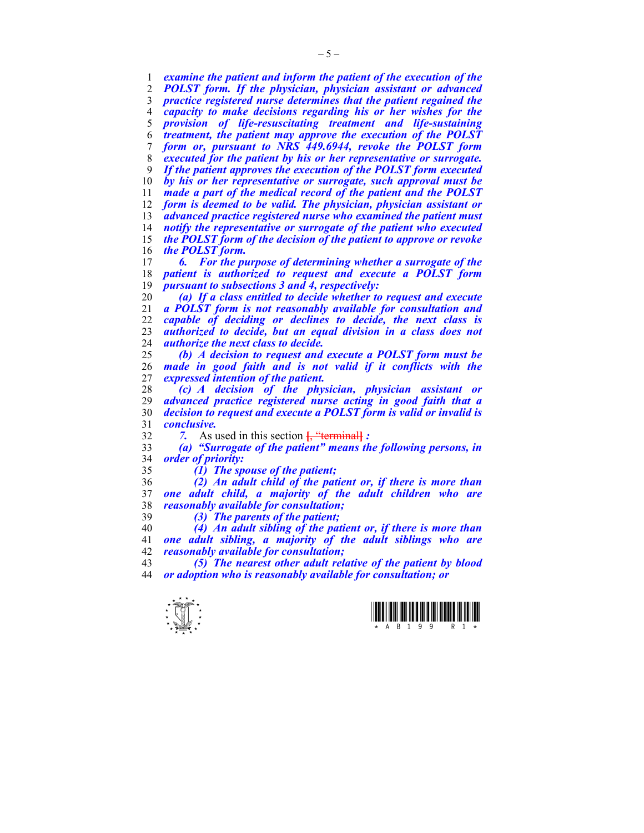*examine the patient and inform the patient of the execution of the POLST form. If the physician, physician assistant or advanced practice registered nurse determines that the patient regained the capacity to make decisions regarding his or her wishes for the provision of life-resuscitating treatment and life-sustaining treatment, the patient may approve the execution of the POLST form or, pursuant to NRS 449.6944, revoke the POLST form executed for the patient by his or her representative or surrogate. If the patient approves the execution of the POLST form executed by his or her representative or surrogate, such approval must be made a part of the medical record of the patient and the POLST form is deemed to be valid. The physician, physician assistant or advanced practice registered nurse who examined the patient must notify the representative or surrogate of the patient who executed the POLST form of the decision of the patient to approve or revoke the POLST form.* 

*6. For the purpose of determining whether a surrogate of the patient is authorized to request and execute a POLST form pursuant to subsections 3 and 4, respectively:* 

*(a) If a class entitled to decide whether to request and execute a POLST form is not reasonably available for consultation and capable of deciding or declines to decide, the next class is authorized to decide, but an equal division in a class does not authorize the next class to decide.* 

*(b) A decision to request and execute a POLST form must be made in good faith and is not valid if it conflicts with the expressed intention of the patient.* 

*(c) A decision of the physician, physician assistant or advanced practice registered nurse acting in good faith that a decision to request and execute a POLST form is valid or invalid is conclusive.* 

*7.* As used in this section **[**, "terminal**]** *:* 

*(a) "Surrogate of the patient" means the following persons, in order of priority:* 

*(1) The spouse of the patient;* 

*(2) An adult child of the patient or, if there is more than one adult child, a majority of the adult children who are reasonably available for consultation;* 

*(3) The parents of the patient;* 

*(4) An adult sibling of the patient or, if there is more than one adult sibling, a majority of the adult siblings who are reasonably available for consultation;* 

*(5) The nearest other adult relative of the patient by blood or adoption who is reasonably available for consultation; or* 



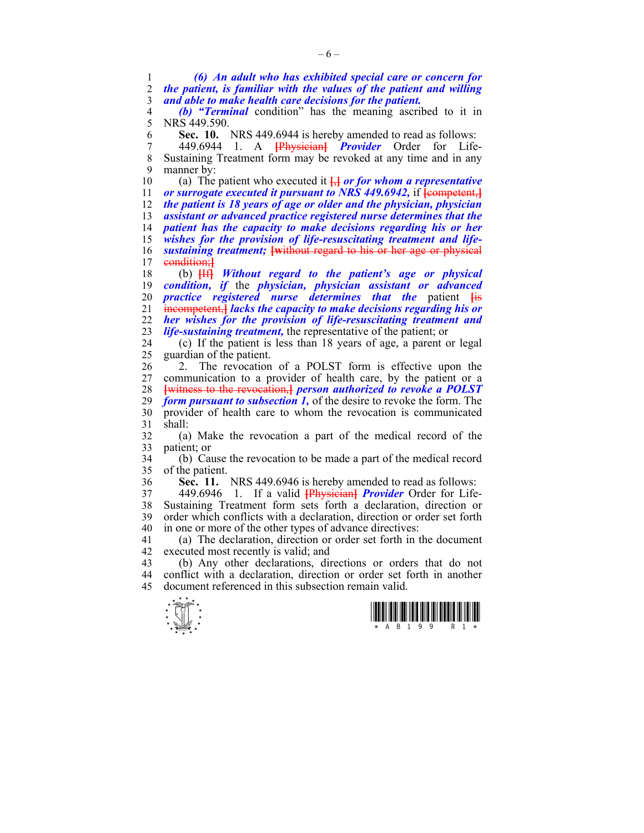1 *(6) An adult who has exhibited special care or concern for*  2 *the patient, is familiar with the values of the patient and willing*  3 *and able to make health care decisions for the patient.* 

4 **(b) "Terminal** condition" has the meaning ascribed to it in 5 NRS 449 590 NRS 449.590

6 **Sec. 10.** NRS 449.6944 is hereby amended to read as follows:

7 449.6944 1. A **[**Physician**]** *Provider* Order for Life-8 Sustaining Treatment form may be revoked at any time and in any 9 manner by:

10 (a) The patient who executed it **[**,**]** *or for whom a representative or surrogate executed it pursuant to NRS 449.6942,* if **[**competent,**]** *the patient is 18 years of age or older and the physician, physician assistant or advanced practice registered nurse determines that the patient has the capacity to make decisions regarding his or her wishes for the provision of life-resuscitating treatment and life-sustaining treatment;* **[w**ithout regard to his or her age or physical 17 condition;**]**

18 (b) **[**If**]** *Without regard to the patient's age or physical condition, if* the *physician, physician assistant or advanced practice registered nurse determines that the* patient **[**is 21 incompetent,**]** *lacks the capacity to make decisions regarding his or her wishes for the provision of life-resuscitating treatment and life-sustaining treatment,* the representative of the patient; or

24 (c) If the patient is less than 18 years of age, a parent or legal 25 guardian of the patient.

26 2. The revocation of a POLST form is effective upon the 27 communication to a provider of health care, by the patient or a 28 **[**witness to the revocation,**]** *person authorized to revoke a POLST*  29 *form pursuant to subsection 1,* of the desire to revoke the form. The 30 provider of health care to whom the revocation is communicated  $31$  shall:

32 (a) Make the revocation a part of the medical record of the 33 patient; or

34 (b) Cause the revocation to be made a part of the medical record of the patient.

36 **Sec. 11.** NRS 449.6946 is hereby amended to read as follows:

37 449.6946 1. If a valid **[**Physician**]** *Provider* Order for Life-38 Sustaining Treatment form sets forth a declaration, direction or 39 order which conflicts with a declaration, direction or order set forth 40 in one or more of the other types of advance directives:

41 (a) The declaration, direction or order set forth in the document 42 executed most recently is valid; and

43 (b) Any other declarations, directions or orders that do not 44 conflict with a declaration, direction or order set forth in another 45 document referenced in this subsection remain valid.

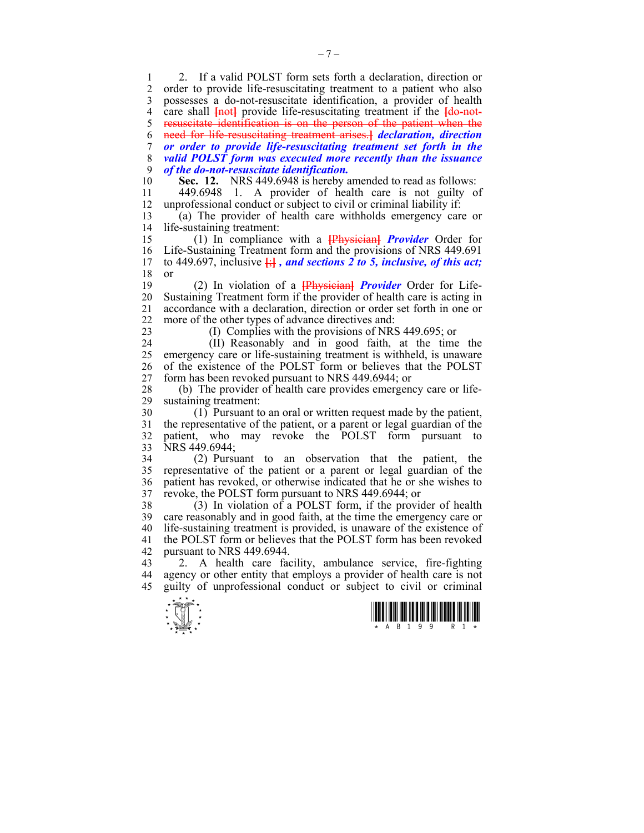1 2. If a valid POLST form sets forth a declaration, direction or 2 order to provide life-resuscitating treatment to a patient who also 3 possesses a do-not-resuscitate identification, a provider of health 4 care shall **{not}** provide life-resuscitating treatment if the **{do-not**-5 resuscitate identification is on the person of the patient when the 6 need for life-resuscitating treatment arises.**]** *declaration, direction*  7 *or order to provide life-resuscitating treatment set forth in the*  8 *valid POLST form was executed more recently than the issuance*  9 *of the do-not-resuscitate identification.*  10 **Sec. 12.** NRS 449.6948 is hereby amended to read as follows:

11 449.6948 1. A provider of health care is not guilty of 12 unprofessional conduct or subject to civil or criminal liability if:

13 (a) The provider of health care withholds emergency care or 14 life-sustaining treatment:

15 (1) In compliance with a **[**Physician**]** *Provider* Order for 16 Life-Sustaining Treatment form and the provisions of NRS 449.691 to 449.697, inclusive  $\overline{H}$ , and sections 2 to 5, inclusive, of this act: to 449.697, inclusive  $\frac{1}{2}$ , and sections 2 to 5, inclusive, of this act; 18 or

19 (2) In violation of a **[**Physician**]** *Provider* Order for Life-20 Sustaining Treatment form if the provider of health care is acting in 21 accordance with a declaration, direction or order set forth in one or 22 more of the other types of advance directives and:

23 (I) Complies with the provisions of NRS 449.695; or

24 (II) Reasonably and in good faith, at the time the 25 emergency care or life-sustaining treatment is withheld, is unaware 26 of the existence of the POLST form or believes that the POLST 27 form has been revoked pursuant to NRS 449.6944; or

28 (b) The provider of health care provides emergency care or life-<br>29 sustaining treatment: sustaining treatment:

30 (1) Pursuant to an oral or written request made by the patient, 31 the representative of the patient, or a parent or legal guardian of the 32 patient, who may revoke the POLST form pursuant to 33 NRS 449.6944;

34 (2) Pursuant to an observation that the patient, the 35 representative of the patient or a parent or legal guardian of the 36 patient has revoked, or otherwise indicated that he or she wishes to 37 revoke, the POLST form pursuant to NRS 449.6944; or

38 (3) In violation of a POLST form, if the provider of health 39 care reasonably and in good faith, at the time the emergency care or 40 life-sustaining treatment is provided, is unaware of the existence of 41 the POLST form or believes that the POLST form has been revoked 42 pursuant to NRS 449.6944.

43 2. A health care facility, ambulance service, fire-fighting 44 agency or other entity that employs a provider of health care is not 45 guilty of unprofessional conduct or subject to civil or criminal

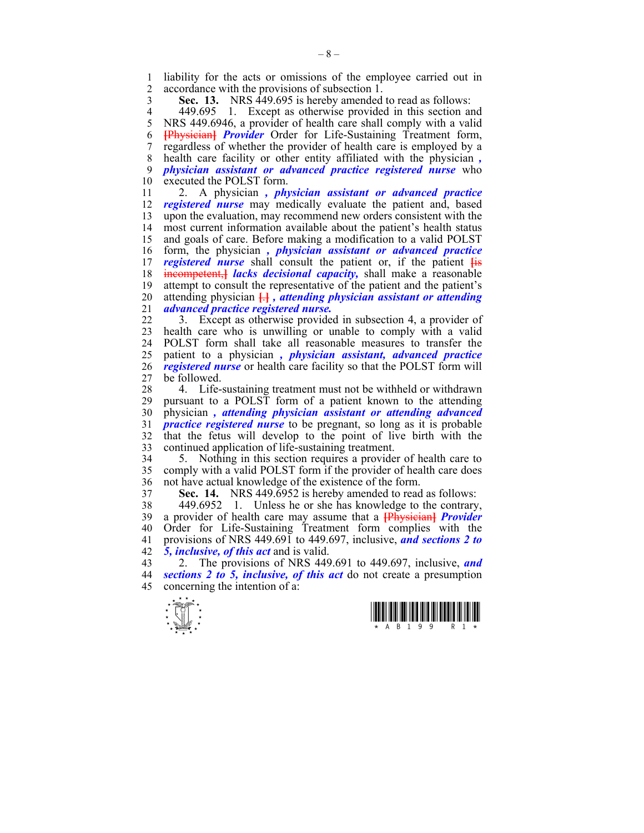1 liability for the acts or omissions of the employee carried out in 2 accordance with the provisions of subsection 1 accordance with the provisions of subsection 1.

3 **Sec. 13.** NRS 449.695 is hereby amended to read as follows:

4 449.695 1. Except as otherwise provided in this section and<br>5 NRS 449.6946, a provider of health care shall comply with a valid 5 NRS 449.6946, a provider of health care shall comply with a valid 6 **[**Physician**]** *Provider* Order for Life-Sustaining Treatment form, 7 regardless of whether the provider of health care is employed by a 8 health care facility or other entity affiliated with the physician *,* 9 *physician assistant or advanced practice registered nurse* who 10 executed the POLST form.

11 2. A physician *, physician assistant or advanced practice*  12 *registered nurse* may medically evaluate the patient and, based 13 upon the evaluation, may recommend new orders consistent with the most current information available about the patient's health status most current information available about the patient's health status 15 and goals of care. Before making a modification to a valid POLST 16 form, the physician *, physician assistant or advanced practice*  17 *registered nurse* shall consult the patient or, if the patient **[**is 18 incompetent,**]** *lacks decisional capacity,* shall make a reasonable 19 attempt to consult the representative of the patient and the patient's 20 attending physician **[**.**]** *, attending physician assistant or attending*  21 *advanced practice registered nurse.*

22 3. Except as otherwise provided in subsection 4, a provider of 23 health care who is unwilling or unable to comply with a valid 24 POLST form shall take all reasonable measures to transfer the 25 patient to a physician *, physician assistant, advanced practice*  26 *registered nurse* or health care facility so that the POLST form will 27 be followed.

28 4. Life-sustaining treatment must not be withheld or withdrawn 29 pursuant to a POLST form of a patient known to the attending 30 physician *, attending physician assistant or attending advanced*  31 *practice registered nurse* to be pregnant, so long as it is probable 32 that the fetus will develop to the point of live birth with the 33 continued application of life-sustaining treatment.

34 5. Nothing in this section requires a provider of health care to 35 comply with a valid POLST form if the provider of health care does 36 not have actual knowledge of the existence of the form.

37 **Sec. 14.** NRS 449.6952 is hereby amended to read as follows:

38 449.6952 1. Unless he or she has knowledge to the contrary, 39 a provider of health care may assume that a **[**Physician**]** *Provider*  40 Order for Life-Sustaining Treatment form complies with the 41 provisions of NRS 449.691 to 449.697, inclusive, *and sections 2 to*  42 *5, inclusive, of this act* and is valid.

43 2. The provisions of NRS 449.691 to 449.697, inclusive, *and*  44 *sections 2 to 5, inclusive, of this act* do not create a presumption 45 concerning the intention of a:



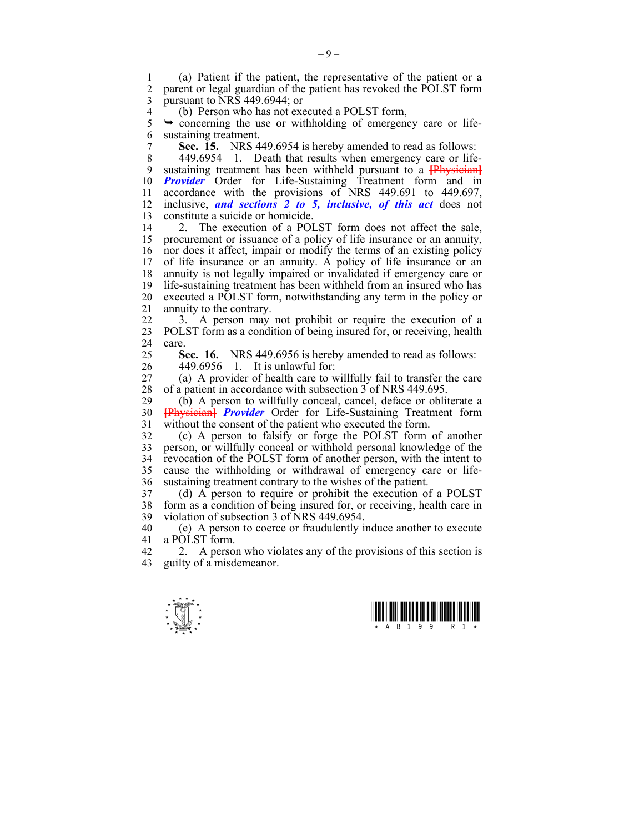1 (a) Patient if the patient, the representative of the patient or a parent or legal guardian of the patient has revoked the POLST form 3 pursuant to NRS 449.6944; or

4 (b) Person who has not executed a POLST form,<br>5  $\rightarrow$  concerning the use or withholding of emergency

 $\rightarrow$  concerning the use or withholding of emergency care or life-6 sustaining treatment.

7 **Sec. 15.** NRS 449.6954 is hereby amended to read as follows:

8 449.6954 1. Death that results when emergency care or life-9 sustaining treatment has been withheld pursuant to a **[**Physician**]** 10 **Provider** Order for Life-Sustaining Treatment form and in 11 accordance with the provisions of NRS 449.691 to 449.697, 12 inclusive, *and sections 2 to 5, inclusive, of this act* does not 13 constitute a suicide or homicide.

14 2. The execution of a POLST form does not affect the sale, 15 procurement or issuance of a policy of life insurance or an annuity, 16 nor does it affect, impair or modify the terms of an existing policy 17 of life insurance or an annuity. A policy of life insurance or an 18 annuity is not legally impaired or invalidated if emergency care or 19 life-sustaining treatment has been withheld from an insured who has 20 executed a POLST form, notwithstanding any term in the policy or 21 annuity to the contrary.

22 3. A person may not prohibit or require the execution of a 23 POLST form as a condition of being insured for, or receiving, health 24 care.

25 **Sec. 16.** NRS 449.6956 is hereby amended to read as follows:

26 449.6956 1. It is unlawful for:

27 (a) A provider of health care to willfully fail to transfer the care 28 of a patient in accordance with subsection 3 of NRS 449.695.<br>29 (b) A person to willfully conceal cancel deface or oblit

 $(b)$  A person to willfully conceal, cancel, deface or obliterate a 30 **[**Physician**]** *Provider* Order for Life-Sustaining Treatment form 31 without the consent of the patient who executed the form.

32 (c) A person to falsify or forge the POLST form of another 33 person, or willfully conceal or withhold personal knowledge of the 34 revocation of the POLST form of another person, with the intent to 35 cause the withholding or withdrawal of emergency care or life-36 sustaining treatment contrary to the wishes of the patient.

37 (d) A person to require or prohibit the execution of a POLST 38 form as a condition of being insured for, or receiving, health care in 39 violation of subsection 3 of NRS 449.6954.

40 (e) A person to coerce or fraudulently induce another to execute 41 a POLST form.

42 2. A person who violates any of the provisions of this section is 43 guilty of a misdemeanor.



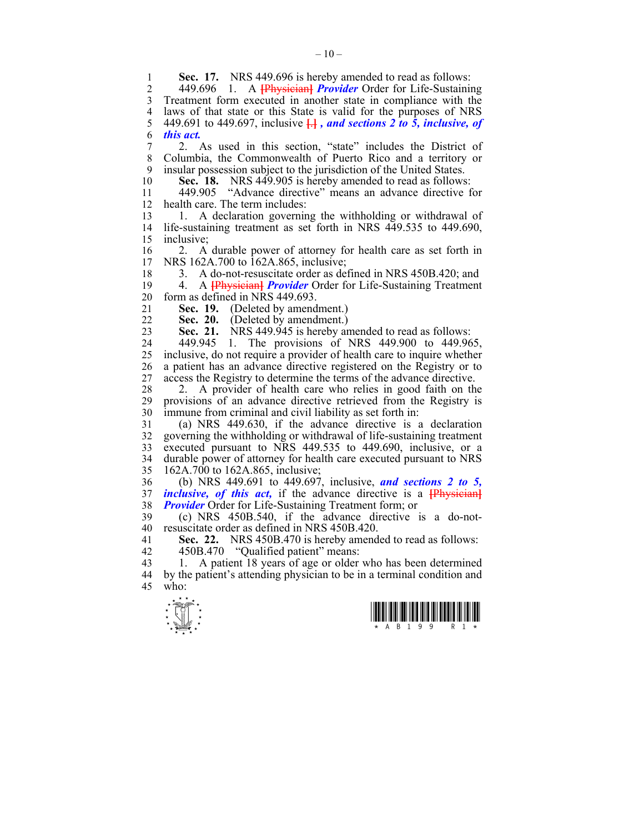**1 Sec. 17.** NRS 449.696 is hereby amended to read as follows:<br>2 449.696 1 A **Financipal Provider** Order for Life-Sustaining 2 449.696 1. A **[**Physician**]** *Provider* Order for Life-Sustaining 3 Treatment form executed in another state in compliance with the 4 laws of that state or this State is valid for the purposes of NRS<br>5 449.691 to 449.697, inclusive  $\frac{1}{2}$ , and sections 2 to 5, inclusive, of 5 449.691 to 449.697, inclusive **[**.**]** *, and sections 2 to 5, inclusive, of*  6 *this act.* 7 2. As used in this section, "state" includes the District of 8 Columbia, the Commonwealth of Puerto Rico and a territory or 9 insular possession subject to the jurisdiction of the United States. 10 **Sec. 18.** NRS 449.905 is hereby amended to read as follows: 11 449.905 "Advance directive" means an advance directive for 12 health care. The term includes: 13 1. A declaration governing the withholding or withdrawal of 14 life-sustaining treatment as set forth in NRS 449.535 to 449.690, 15 inclusive; 16 2. A durable power of attorney for health care as set forth in 17 NRS 162A.700 to 162A.865, inclusive: NRS 162A.700 to 162A.865, inclusive; 18 3. A do-not-resuscitate order as defined in NRS 450B.420; and 19 4. A **[**Physician**]** *Provider* Order for Life-Sustaining Treatment 20 form as defined in NRS 449.693. 21 **Sec. 19.** (Deleted by amendment.) 22 **Sec. 20.** (Deleted by amendment.) 23 **Sec. 21.** NRS 449.945 is hereby amended to read as follows: 24 449.945 1. The provisions of NRS 449.900 to 449.965, 25 inclusive, do not require a provider of health care to inquire whether 26 a patient has an advance directive registered on the Registry or to 27 access the Registry to determine the terms of the advance directive. 28 2. A provider of health care who relies in good faith on the 29 provisions of an advance directive retrieved from the Registry is 30 immune from criminal and civil liability as set forth in: 31 (a) NRS 449.630, if the advance directive is a declaration 32 governing the withholding or withdrawal of life-sustaining treatment 33 executed pursuant to NRS 449.535 to 449.690, inclusive, or a 34 durable power of attorney for health care executed pursuant to NRS 35 162A.700 to 162A.865, inclusive; 36 (b) NRS 449.691 to 449.697, inclusive, *and sections 2 to 5,*  37 *inclusive, of this act,* if the advance directive is a **[**Physician**]** 38 *Provider* Order for Life-Sustaining Treatment form; or 39 (c) NRS 450B.540, if the advance directive is a do-not-40 resuscitate order as defined in NRS 450B.420. 41 **Sec. 22.** NRS 450B.470 is hereby amended to read as follows: 42 450B.470 "Qualified patient" means: 43 1. A patient 18 years of age or older who has been determined 44 by the patient's attending physician to be in a terminal condition and 45 who:



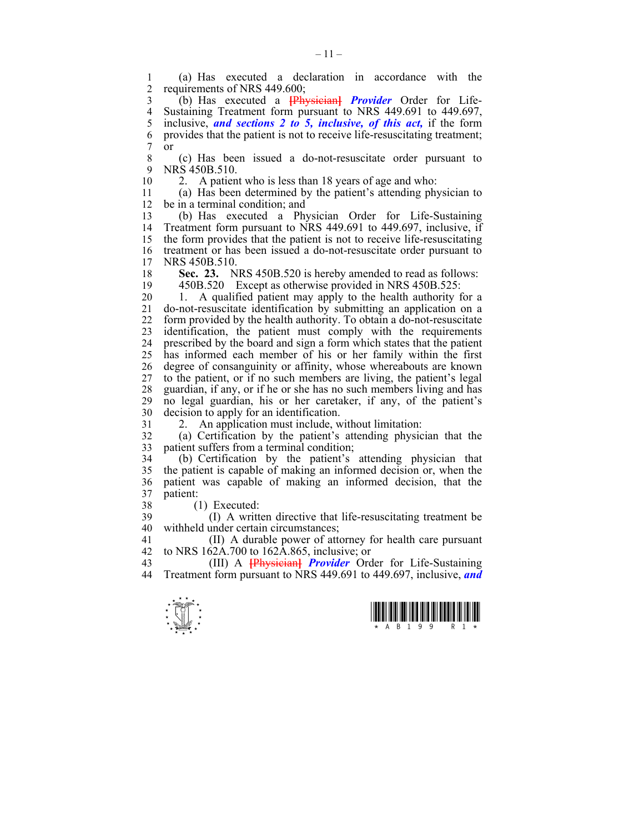1 (a) Has executed a declaration in accordance with the requirements of NRS 449.600;

3 (b) Has executed a **[**Physician**]** *Provider* Order for Life-4 Sustaining Treatment form pursuant to NRS 449.691 to 449.697,<br>5 inclusive, and sections 2 to 5, inclusive, of this act, if the form 5 inclusive, *and sections 2 to 5, inclusive, of this act,* if the form 6 provides that the patient is not to receive life-resuscitating treatment;<br>7 or  $\begin{array}{cc} 7 & or \\ 8 & 7 \end{array}$ 

8 (c) Has been issued a do-not-resuscitate order pursuant to 9 NRS 450B.510.

10 2. A patient who is less than 18 years of age and who:

11 (a) Has been determined by the patient's attending physician to 12 be in a terminal condition; and

13 (b) Has executed a Physician Order for Life-Sustaining 14 Treatment form pursuant to NRS 449.691 to 449.697, inclusive, if 15 the form provides that the patient is not to receive life-resuscitating 16 treatment or has been issued a do-not-resuscitate order pursuant to 17 NRS 450B 510 NRS 450B.510.

18 **Sec. 23.** NRS 450B.520 is hereby amended to read as follows: 19 450B.520 Except as otherwise provided in NRS 450B.525:

20 1. A qualified patient may apply to the health authority for a 21 do-not-resuscitate identification by submitting an application on a 22 form provided by the health authority. To obtain a do-not-resuscitate 23 identification, the patient must comply with the requirements 24 prescribed by the board and sign a form which states that the patient 25 has informed each member of his or her family within the first 26 degree of consanguinity or affinity, whose whereabouts are known 27 to the patient, or if no such members are living, the patient's legal 28 guardian, if any, or if he or she has no such members living and has 29 no legal guardian, his or her caretaker, if any, of the patient's 30 decision to apply for an identification.

31 2. An application must include, without limitation:

32 (a) Certification by the patient's attending physician that the 33 patient suffers from a terminal condition;

34 (b) Certification by the patient's attending physician that 35 the patient is capable of making an informed decision or, when the 36 patient was capable of making an informed decision, that the 37 patient:

38 (1) Executed:

39 (I) A written directive that life-resuscitating treatment be 40 withheld under certain circumstances;

41 (II) A durable power of attorney for health care pursuant 42 to NRS 162A.700 to 162A.865, inclusive; or

43 (III) A **[**Physician**]** *Provider* Order for Life-Sustaining 44 Treatment form pursuant to NRS 449.691 to 449.697, inclusive, *and* 



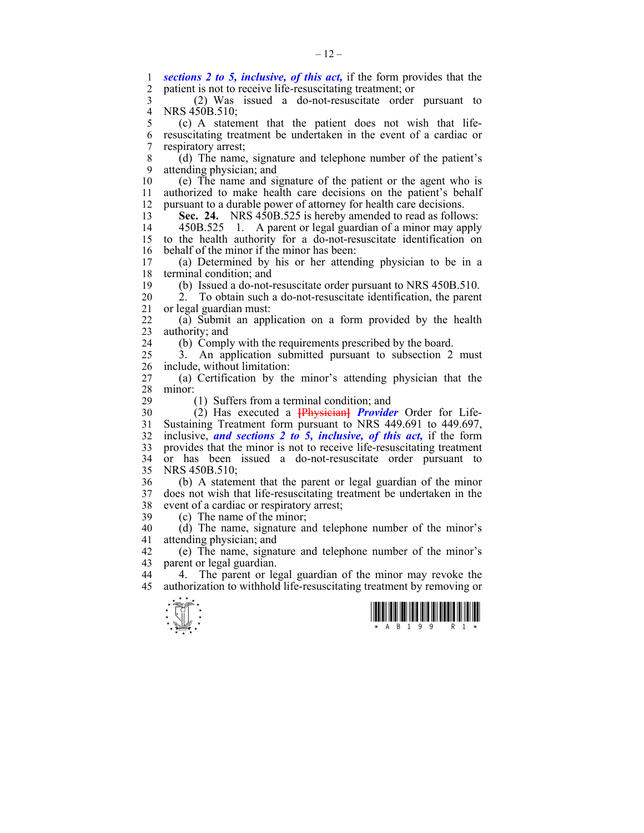$\frac{1}{\sqrt{2}}$ 1 **sections 2 to 5, inclusive, of this act,** if the form provides that the container is not to receive life-resuscitating treatment: or patient is not to receive life-resuscitating treatment; or 3 (2) Was issued a do-not-resuscitate order pursuant to 4 NRS 450B.510;<br>5 (c) A stater 5 (c) A statement that the patient does not wish that life-6 resuscitating treatment be undertaken in the event of a cardiac or 7 respiratory arrest; 8 (d) The name, signature and telephone number of the patient's 9 attending physician; and 10 (e) The name and signature of the patient or the agent who is 11 authorized to make health care decisions on the patient's behalf 12 pursuant to a durable power of attorney for health care decisions. 13 **Sec. 24.** NRS 450B.525 is hereby amended to read as follows: 14 450B.525 1. A parent or legal guardian of a minor may apply 15 to the health authority for a do-not-resuscitate identification on 16 behalf of the minor if the minor has been:<br>17 (a) Determined by his or her attend (a) Determined by his or her attending physician to be in a 18 terminal condition; and 19 (b) Issued a do-not-resuscitate order pursuant to NRS 450B.510. 20 2. To obtain such a do-not-resuscitate identification, the parent 21 or legal guardian must: 22 (a) Submit an application on a form provided by the health 23 authority; and 24 (b) Comply with the requirements prescribed by the board. 25 3. An application submitted pursuant to subsection 2 must 26 include, without limitation: 27 (a) Certification by the minor's attending physician that the  $\frac{28}{29}$  minor: 29 (1) Suffers from a terminal condition; and 30 (2) Has executed a **[**Physician**]** *Provider* Order for Life-31 Sustaining Treatment form pursuant to NRS 449.691 to 449.697, 32 inclusive, *and sections 2 to 5, inclusive, of this act,* if the form 33 provides that the minor is not to receive life-resuscitating treatment 34 or has been issued a do-not-resuscitate order pursuant to 35 NRS 450B.510; 36 (b) A statement that the parent or legal guardian of the minor 37 does not wish that life-resuscitating treatment be undertaken in the 38 event of a cardiac or respiratory arrest; 39 (c) The name of the minor; 40 (d) The name, signature and telephone number of the minor's 41 attending physician; and 42 (e) The name, signature and telephone number of the minor's 43 parent or legal guardian. 44 4. The parent or legal guardian of the minor may revoke the 45 authorization to withhold life-resuscitating treatment by removing or

 $-12-$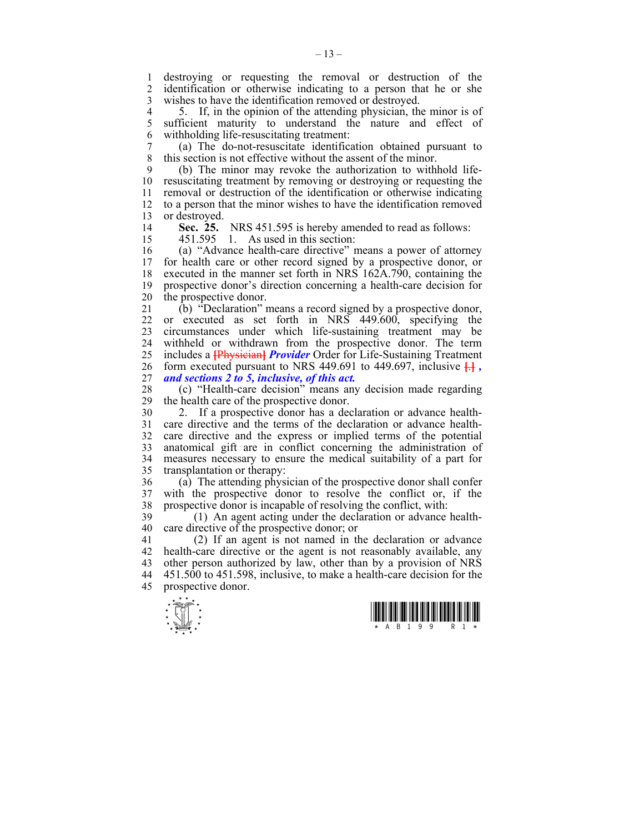1 destroying or requesting the removal or destruction of the<br>2 identification or otherwise indicating to a person that he or she identification or otherwise indicating to a person that he or she 3 wishes to have the identification removed or destroyed.

4 5. If, in the opinion of the attending physician, the minor is of sufficient maturity to understand the nature and effect of sufficient maturity to understand the nature and effect of 6 withholding life-resuscitating treatment:

7 (a) The do-not-resuscitate identification obtained pursuant to this section is not effective without the assent of the minor.

9 (b) The minor may revoke the authorization to withhold life-10 resuscitating treatment by removing or destroying or requesting the 11 removal or destruction of the identification or otherwise indicating 12 to a person that the minor wishes to have the identification removed 13 or destroyed.

14 **Sec. 25.** NRS 451.595 is hereby amended to read as follows:

15 451.595 1. As used in this section:

16 (a) "Advance health-care directive" means a power of attorney for health care or other record signed by a prospective donor, or 18 executed in the manner set forth in NRS 162A.790, containing the 19 prospective donor's direction concerning a health-care decision for 20 the prospective donor.

21 (b) "Declaration" means a record signed by a prospective donor, 22 or executed as set forth in NRS 449.600, specifying the 23 circumstances under which life-sustaining treatment may be 24 withheld or withdrawn from the prospective donor. The term 25 includes a **[**Physician**]** *Provider* Order for Life-Sustaining Treatment 26 form executed pursuant to NRS 449.691 to 449.697, inclusive **[**.**]** *,*  27 *and sections 2 to 5, inclusive, of this act.*

28 (c) "Health-care decision" means any decision made regarding the health care of the prospective donor.

30 2. If a prospective donor has a declaration or advance health-31 care directive and the terms of the declaration or advance health-32 care directive and the express or implied terms of the potential 33 anatomical gift are in conflict concerning the administration of 34 measures necessary to ensure the medical suitability of a part for 35 transplantation or therapy:

36 (a) The attending physician of the prospective donor shall confer 37 with the prospective donor to resolve the conflict or, if the 38 prospective donor is incapable of resolving the conflict, with:

39 (1) An agent acting under the declaration or advance health-40 care directive of the prospective donor; or

41 (2) If an agent is not named in the declaration or advance 42 health-care directive or the agent is not reasonably available, any 43 other person authorized by law, other than by a provision of NRS 44 451.500 to 451.598, inclusive, to make a health-care decision for the 45 prospective donor.